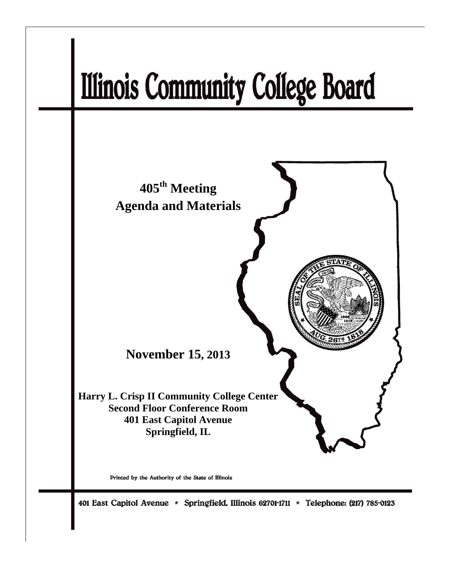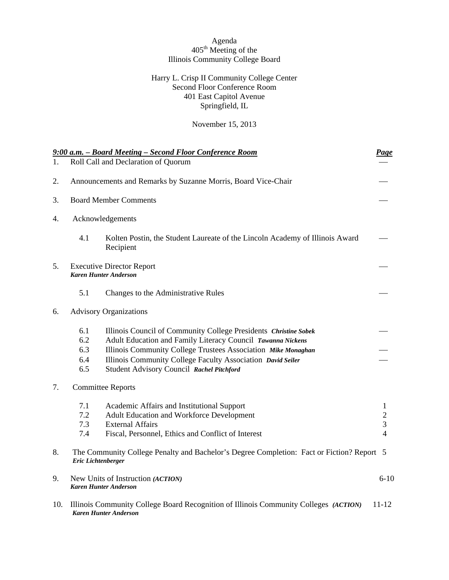# Agenda  $405<sup>th</sup> Meeting of the$ Illinois Community College Board

## Harry L. Crisp II Community College Center Second Floor Conference Room 401 East Capitol Avenue Springfield, IL

November 15, 2013

|     |                    | 9:00 a.m. - Board Meeting - Second Floor Conference Room                                                      | <b>Page</b>    |
|-----|--------------------|---------------------------------------------------------------------------------------------------------------|----------------|
| 1.  |                    | Roll Call and Declaration of Quorum                                                                           |                |
| 2.  |                    | Announcements and Remarks by Suzanne Morris, Board Vice-Chair                                                 |                |
| 3.  |                    | <b>Board Member Comments</b>                                                                                  |                |
| 4.  |                    | Acknowledgements                                                                                              |                |
|     | 4.1                | Kolten Postin, the Student Laureate of the Lincoln Academy of Illinois Award<br>Recipient                     |                |
| 5.  |                    | <b>Executive Director Report</b><br><b>Karen Hunter Anderson</b>                                              |                |
|     | 5.1                | Changes to the Administrative Rules                                                                           |                |
| 6.  |                    | <b>Advisory Organizations</b>                                                                                 |                |
|     | 6.1                | Illinois Council of Community College Presidents Christine Sobek                                              |                |
|     | 6.2                | Adult Education and Family Literacy Council Tawanna Nickens                                                   |                |
|     | 6.3                | Illinois Community College Trustees Association Mike Monaghan                                                 |                |
|     | 6.4                | Illinois Community College Faculty Association David Seiler                                                   |                |
|     | 6.5                | Student Advisory Council Rachel Pitchford                                                                     |                |
| 7.  |                    | <b>Committee Reports</b>                                                                                      |                |
|     | 7.1                | Academic Affairs and Institutional Support                                                                    | $\mathbf{1}$   |
|     | 7.2                | Adult Education and Workforce Development                                                                     | $\overline{c}$ |
|     | 7.3                | <b>External Affairs</b>                                                                                       | 3              |
|     | 7.4                | Fiscal, Personnel, Ethics and Conflict of Interest                                                            | $\overline{4}$ |
| 8.  | Eric Lichtenberger | The Community College Penalty and Bachelor's Degree Completion: Fact or Fiction? Report 5                     |                |
| 9.  |                    | New Units of Instruction (ACTION)<br><b>Karen Hunter Anderson</b>                                             | $6 - 10$       |
| 10. |                    | Illinois Community College Board Recognition of Illinois Community Colleges (ACTION)<br>Karen Hunter Anderson | $11 - 12$      |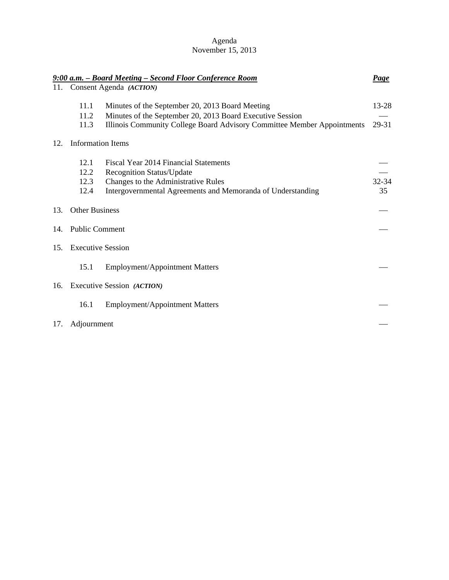# Agenda November 15, 2013

|     |                              | 9:00 a.m. - Board Meeting - Second Floor Conference Room                                                                                                                                | <b>Page</b>    |
|-----|------------------------------|-----------------------------------------------------------------------------------------------------------------------------------------------------------------------------------------|----------------|
| 11. |                              | Consent Agenda (ACTION)                                                                                                                                                                 |                |
|     | 11.1<br>11.2<br>11.3         | Minutes of the September 20, 2013 Board Meeting<br>Minutes of the September 20, 2013 Board Executive Session<br>Illinois Community College Board Advisory Committee Member Appointments | 13-28<br>29-31 |
| 12. | <b>Information Items</b>     |                                                                                                                                                                                         |                |
|     | 12.1<br>12.2<br>12.3<br>12.4 | Fiscal Year 2014 Financial Statements<br><b>Recognition Status/Update</b><br>Changes to the Administrative Rules<br>Intergovernmental Agreements and Memoranda of Understanding         | 32-34<br>35    |
| 13. | <b>Other Business</b>        |                                                                                                                                                                                         |                |
| 14. | <b>Public Comment</b>        |                                                                                                                                                                                         |                |
| 15. | <b>Executive Session</b>     |                                                                                                                                                                                         |                |
|     | 15.1                         | Employment/Appointment Matters                                                                                                                                                          |                |
|     |                              | 16. Executive Session (ACTION)                                                                                                                                                          |                |
|     | 16.1                         | <b>Employment/Appointment Matters</b>                                                                                                                                                   |                |
| 17. | Adjournment                  |                                                                                                                                                                                         |                |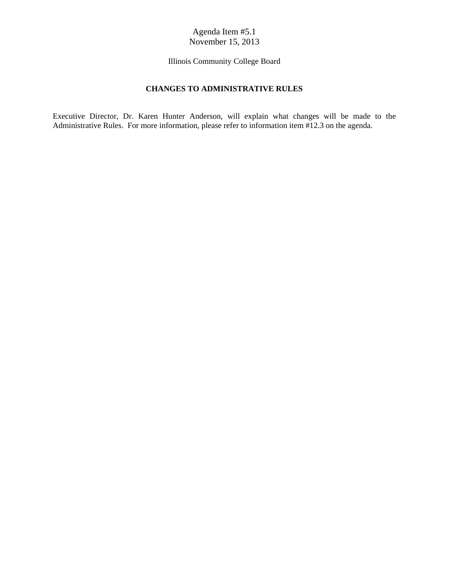Illinois Community College Board

# **CHANGES TO ADMINISTRATIVE RULES**

Executive Director, Dr. Karen Hunter Anderson, will explain what changes will be made to the Administrative Rules. For more information, please refer to information item #12.3 on the agenda.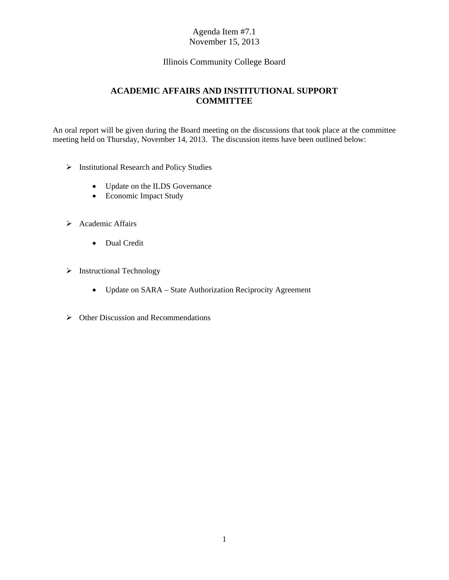# Illinois Community College Board

# **ACADEMIC AFFAIRS AND INSTITUTIONAL SUPPORT COMMITTEE**

An oral report will be given during the Board meeting on the discussions that took place at the committee meeting held on Thursday, November 14, 2013. The discussion items have been outlined below:

- Institutional Research and Policy Studies
	- Update on the ILDS Governance
	- Economic Impact Study
- > Academic Affairs
	- Dual Credit
- $\triangleright$  Instructional Technology
	- Update on SARA State Authorization Reciprocity Agreement
- $\triangleright$  Other Discussion and Recommendations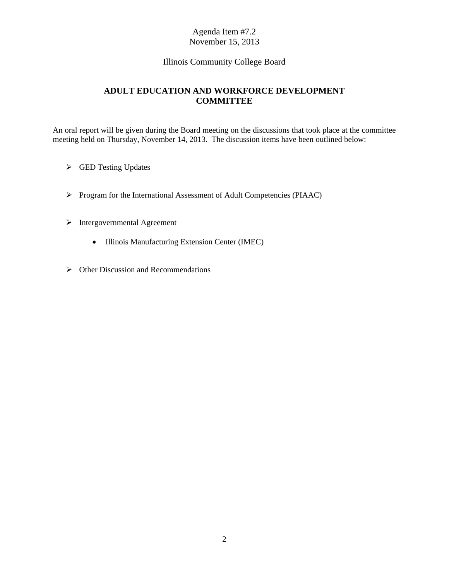# Illinois Community College Board

# **ADULT EDUCATION AND WORKFORCE DEVELOPMENT COMMITTEE**

An oral report will be given during the Board meeting on the discussions that took place at the committee meeting held on Thursday, November 14, 2013. The discussion items have been outlined below:

- GED Testing Updates
- Program for the International Assessment of Adult Competencies (PIAAC)
- $\triangleright$  Intergovernmental Agreement
	- Illinois Manufacturing Extension Center (IMEC)
- $\triangleright$  Other Discussion and Recommendations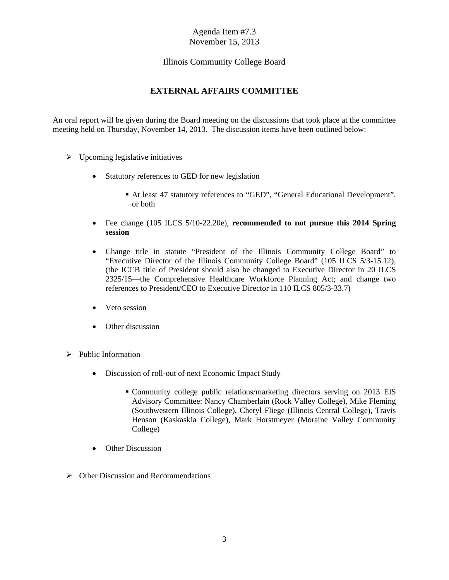# Illinois Community College Board

# **EXTERNAL AFFAIRS COMMITTEE**

An oral report will be given during the Board meeting on the discussions that took place at the committee meeting held on Thursday, November 14, 2013. The discussion items have been outlined below:

- $\triangleright$  Upcoming legislative initiatives
	- Statutory references to GED for new legislation
		- At least 47 statutory references to "GED", "General Educational Development", or both
	- Fee change (105 ILCS 5/10-22.20e), **recommended to not pursue this 2014 Spring session**
	- Change title in statute "President of the Illinois Community College Board" to "Executive Director of the Illinois Community College Board" (105 ILCS 5/3-15.12), (the ICCB title of President should also be changed to Executive Director in 20 ILCS 2325/15—the Comprehensive Healthcare Workforce Planning Act; and change two references to President/CEO to Executive Director in 110 ILCS 805/3-33.7)
	- Veto session
	- Other discussion
- $\triangleright$  Public Information
	- Discussion of roll-out of next Economic Impact Study
		- Community college public relations/marketing directors serving on 2013 EIS Advisory Committee: Nancy Chamberlain (Rock Valley College), Mike Fleming (Southwestern Illinois College), Cheryl Fliege (Illinois Central College), Travis Henson (Kaskaskia College), Mark Horstmeyer (Moraine Valley Community College)
	- Other Discussion
- $\triangleright$  Other Discussion and Recommendations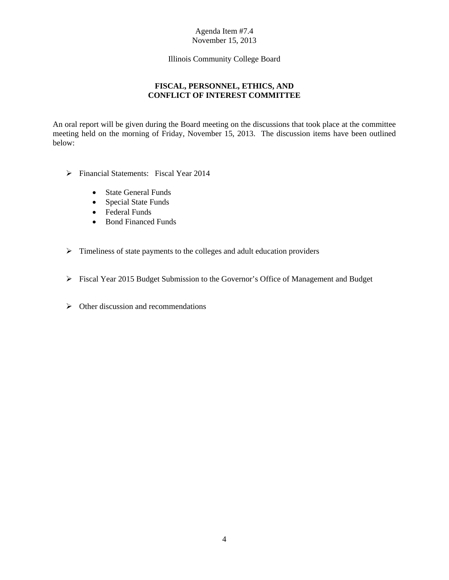Illinois Community College Board

# **FISCAL, PERSONNEL, ETHICS, AND CONFLICT OF INTEREST COMMITTEE**

An oral report will be given during the Board meeting on the discussions that took place at the committee meeting held on the morning of Friday, November 15, 2013. The discussion items have been outlined below:

- Financial Statements: Fiscal Year 2014
	- State General Funds
	- Special State Funds
	- Federal Funds
	- Bond Financed Funds
- $\triangleright$  Timeliness of state payments to the colleges and adult education providers
- Fiscal Year 2015 Budget Submission to the Governor's Office of Management and Budget
- $\triangleright$  Other discussion and recommendations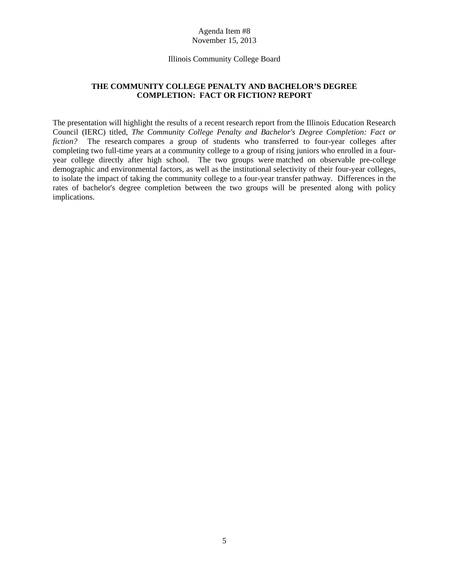#### Illinois Community College Board

## **THE COMMUNITY COLLEGE PENALTY AND BACHELOR'S DEGREE COMPLETION: FACT OR FICTION? REPORT**

The presentation will highlight the results of a recent research report from the Illinois Education Research Council (IERC) titled, *The Community College Penalty and Bachelor's Degree Completion: Fact or fiction?* The research compares a group of students who transferred to four-year colleges after completing two full-time years at a community college to a group of rising juniors who enrolled in a fouryear college directly after high school. The two groups were matched on observable pre-college demographic and environmental factors, as well as the institutional selectivity of their four-year colleges, to isolate the impact of taking the community college to a four-year transfer pathway. Differences in the rates of bachelor's degree completion between the two groups will be presented along with policy implications.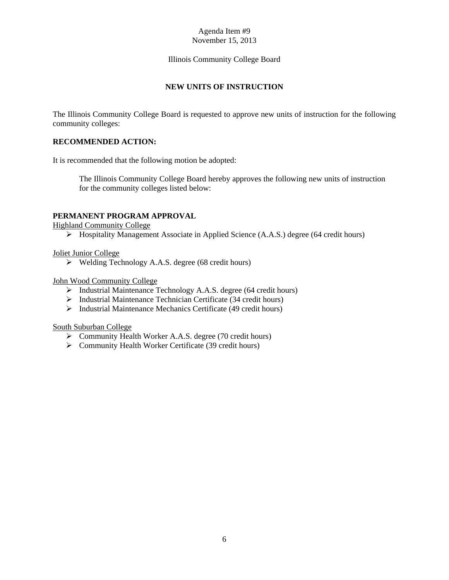## Illinois Community College Board

# **NEW UNITS OF INSTRUCTION**

The Illinois Community College Board is requested to approve new units of instruction for the following community colleges:

## **RECOMMENDED ACTION:**

It is recommended that the following motion be adopted:

The Illinois Community College Board hereby approves the following new units of instruction for the community colleges listed below:

## **PERMANENT PROGRAM APPROVAL**

Highland Community College

Hospitality Management Associate in Applied Science (A.A.S.) degree (64 credit hours)

## Joliet Junior College

 $\triangleright$  Welding Technology A.A.S. degree (68 credit hours)

John Wood Community College

- Industrial Maintenance Technology A.A.S. degree (64 credit hours)
- $\triangleright$  Industrial Maintenance Technician Certificate (34 credit hours)
- $\triangleright$  Industrial Maintenance Mechanics Certificate (49 credit hours)

South Suburban College

- Community Health Worker A.A.S. degree (70 credit hours)
- Community Health Worker Certificate (39 credit hours)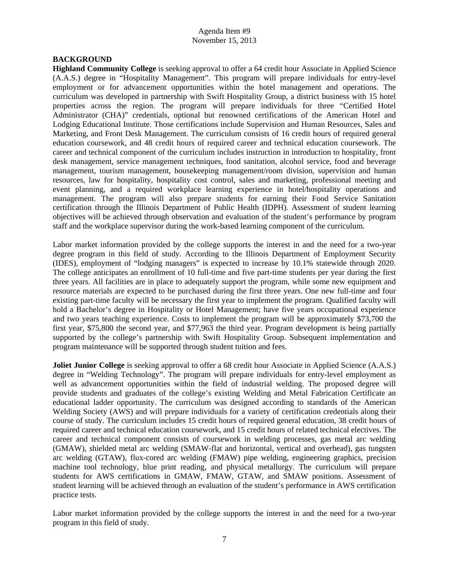#### **BACKGROUND**

**Highland Community College** is seeking approval to offer a 64 credit hour Associate in Applied Science (A.A.S.) degree in "Hospitality Management". This program will prepare individuals for entry-level employment or for advancement opportunities within the hotel management and operations. The curriculum was developed in partnership with Swift Hospitality Group, a district business with 15 hotel properties across the region. The program will prepare individuals for three "Certified Hotel Administrator (CHA)" credentials, optional but renowned certifications of the American Hotel and Lodging Educational Institute. Those certifications include Supervision and Human Resources, Sales and Marketing, and Front Desk Management. The curriculum consists of 16 credit hours of required general education coursework, and 48 credit hours of required career and technical education coursework. The career and technical component of the curriculum includes instruction in introduction to hospitality, front desk management, service management techniques, food sanitation, alcohol service, food and beverage management, tourism management, housekeeping management/room division, supervision and human resources, law for hospitality, hospitality cost control, sales and marketing, professional meeting and event planning, and a required workplace learning experience in hotel/hospitality operations and management. The program will also prepare students for earning their Food Service Sanitation certification through the Illinois Department of Public Health (IDPH). Assessment of student learning objectives will be achieved through observation and evaluation of the student's performance by program staff and the workplace supervisor during the work-based learning component of the curriculum.

Labor market information provided by the college supports the interest in and the need for a two-year degree program in this field of study. According to the Illinois Department of Employment Security (IDES), employment of "lodging managers" is expected to increase by 10.1% statewide through 2020. The college anticipates an enrollment of 10 full-time and five part-time students per year during the first three years. All facilities are in place to adequately support the program, while some new equipment and resource materials are expected to be purchased during the first three years. One new full-time and four existing part-time faculty will be necessary the first year to implement the program. Qualified faculty will hold a Bachelor's degree in Hospitality or Hotel Management; have five years occupational experience and two years teaching experience. Costs to implement the program will be approximately \$73,700 the first year, \$75,800 the second year, and \$77,963 the third year. Program development is being partially supported by the college's partnership with Swift Hospitality Group. Subsequent implementation and program maintenance will be supported through student tuition and fees.

**Joliet Junior College** is seeking approval to offer a 68 credit hour Associate in Applied Science (A.A.S.) degree in "Welding Technology". The program will prepare individuals for entry-level employment as well as advancement opportunities within the field of industrial welding. The proposed degree will provide students and graduates of the college's existing Welding and Metal Fabrication Certificate an educational ladder opportunity. The curriculum was designed according to standards of the American Welding Society (AWS) and will prepare individuals for a variety of certification credentials along their course of study. The curriculum includes 15 credit hours of required general education, 38 credit hours of required career and technical education coursework, and 15 credit hours of related technical electives. The career and technical component consists of coursework in welding processes, gas metal arc welding (GMAW), shielded metal arc welding (SMAW-flat and horizontal, vertical and overhead), gas tungsten arc welding (GTAW), flux-cored arc welding (FMAW) pipe welding, engineering graphics, precision machine tool technology, blue print reading, and physical metallurgy. The curriculum will prepare students for AWS certifications in GMAW, FMAW, GTAW, and SMAW positions. Assessment of student learning will be achieved through an evaluation of the student's performance in AWS certification practice tests.

Labor market information provided by the college supports the interest in and the need for a two-year program in this field of study.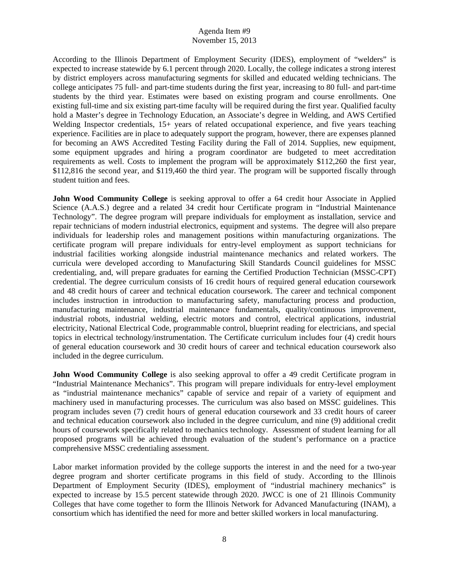According to the Illinois Department of Employment Security (IDES), employment of "welders" is expected to increase statewide by 6.1 percent through 2020. Locally, the college indicates a strong interest by district employers across manufacturing segments for skilled and educated welding technicians. The college anticipates 75 full- and part-time students during the first year, increasing to 80 full- and part-time students by the third year. Estimates were based on existing program and course enrollments. One existing full-time and six existing part-time faculty will be required during the first year. Qualified faculty hold a Master's degree in Technology Education, an Associate's degree in Welding, and AWS Certified Welding Inspector credentials, 15+ years of related occupational experience, and five years teaching experience. Facilities are in place to adequately support the program, however, there are expenses planned for becoming an AWS Accredited Testing Facility during the Fall of 2014. Supplies, new equipment, some equipment upgrades and hiring a program coordinator are budgeted to meet accreditation requirements as well. Costs to implement the program will be approximately \$112,260 the first year, \$112,816 the second year, and \$119,460 the third year. The program will be supported fiscally through student tuition and fees.

**John Wood Community College** is seeking approval to offer a 64 credit hour Associate in Applied Science (A.A.S.) degree and a related 34 credit hour Certificate program in "Industrial Maintenance Technology". The degree program will prepare individuals for employment as installation, service and repair technicians of modern industrial electronics, equipment and systems. The degree will also prepare individuals for leadership roles and management positions within manufacturing organizations. The certificate program will prepare individuals for entry-level employment as support technicians for industrial facilities working alongside industrial maintenance mechanics and related workers. The curricula were developed according to Manufacturing Skill Standards Council guidelines for MSSC credentialing, and, will prepare graduates for earning the Certified Production Technician (MSSC-CPT) credential. The degree curriculum consists of 16 credit hours of required general education coursework and 48 credit hours of career and technical education coursework. The career and technical component includes instruction in introduction to manufacturing safety, manufacturing process and production, manufacturing maintenance, industrial maintenance fundamentals, quality/continuous improvement, industrial robots, industrial welding, electric motors and control, electrical applications, industrial electricity, National Electrical Code, programmable control, blueprint reading for electricians, and special topics in electrical technology/instrumentation. The Certificate curriculum includes four (4) credit hours of general education coursework and 30 credit hours of career and technical education coursework also included in the degree curriculum.

**John Wood Community College** is also seeking approval to offer a 49 credit Certificate program in "Industrial Maintenance Mechanics". This program will prepare individuals for entry-level employment as "industrial maintenance mechanics" capable of service and repair of a variety of equipment and machinery used in manufacturing processes. The curriculum was also based on MSSC guidelines. This program includes seven (7) credit hours of general education coursework and 33 credit hours of career and technical education coursework also included in the degree curriculum, and nine (9) additional credit hours of coursework specifically related to mechanics technology. Assessment of student learning for all proposed programs will be achieved through evaluation of the student's performance on a practice comprehensive MSSC credentialing assessment.

Labor market information provided by the college supports the interest in and the need for a two-year degree program and shorter certificate programs in this field of study. According to the Illinois Department of Employment Security (IDES), employment of "industrial machinery mechanics" is expected to increase by 15.5 percent statewide through 2020. JWCC is one of 21 Illinois Community Colleges that have come together to form the Illinois Network for Advanced Manufacturing (INAM), a consortium which has identified the need for more and better skilled workers in local manufacturing.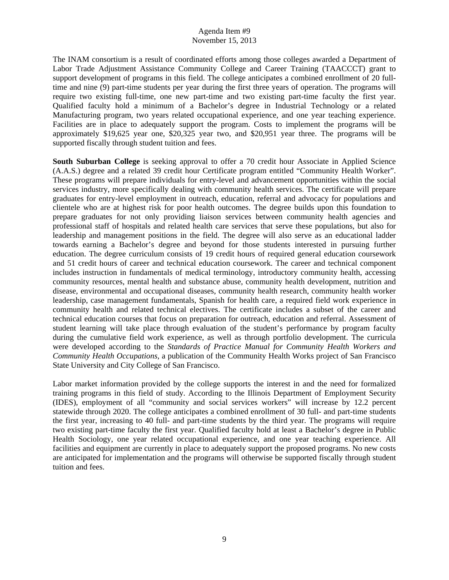The INAM consortium is a result of coordinated efforts among those colleges awarded a Department of Labor Trade Adjustment Assistance Community College and Career Training (TAACCCT) grant to support development of programs in this field. The college anticipates a combined enrollment of 20 fulltime and nine (9) part-time students per year during the first three years of operation. The programs will require two existing full-time, one new part-time and two existing part-time faculty the first year. Qualified faculty hold a minimum of a Bachelor's degree in Industrial Technology or a related Manufacturing program, two years related occupational experience, and one year teaching experience. Facilities are in place to adequately support the program. Costs to implement the programs will be approximately \$19,625 year one, \$20,325 year two, and \$20,951 year three. The programs will be supported fiscally through student tuition and fees.

**South Suburban College** is seeking approval to offer a 70 credit hour Associate in Applied Science (A.A.S.) degree and a related 39 credit hour Certificate program entitled "Community Health Worker". These programs will prepare individuals for entry-level and advancement opportunities within the social services industry, more specifically dealing with community health services. The certificate will prepare graduates for entry-level employment in outreach, education, referral and advocacy for populations and clientele who are at highest risk for poor health outcomes. The degree builds upon this foundation to prepare graduates for not only providing liaison services between community health agencies and professional staff of hospitals and related health care services that serve these populations, but also for leadership and management positions in the field. The degree will also serve as an educational ladder towards earning a Bachelor's degree and beyond for those students interested in pursuing further education. The degree curriculum consists of 19 credit hours of required general education coursework and 51 credit hours of career and technical education coursework. The career and technical component includes instruction in fundamentals of medical terminology, introductory community health, accessing community resources, mental health and substance abuse, community health development, nutrition and disease, environmental and occupational diseases, community health research, community health worker leadership, case management fundamentals, Spanish for health care, a required field work experience in community health and related technical electives. The certificate includes a subset of the career and technical education courses that focus on preparation for outreach, education and referral. Assessment of student learning will take place through evaluation of the student's performance by program faculty during the cumulative field work experience, as well as through portfolio development. The curricula were developed according to the *Standards of Practice Manual for Community Health Workers and Community Health Occupations*, a publication of the Community Health Works project of San Francisco State University and City College of San Francisco.

Labor market information provided by the college supports the interest in and the need for formalized training programs in this field of study. According to the Illinois Department of Employment Security (IDES), employment of all "community and social services workers" will increase by 12.2 percent statewide through 2020. The college anticipates a combined enrollment of 30 full- and part-time students the first year, increasing to 40 full- and part-time students by the third year. The programs will require two existing part-time faculty the first year. Qualified faculty hold at least a Bachelor's degree in Public Health Sociology, one year related occupational experience, and one year teaching experience. All facilities and equipment are currently in place to adequately support the proposed programs. No new costs are anticipated for implementation and the programs will otherwise be supported fiscally through student tuition and fees.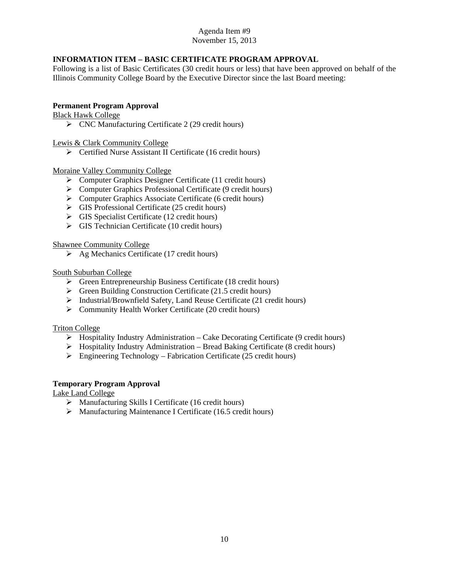# **INFORMATION ITEM – BASIC CERTIFICATE PROGRAM APPROVAL**

Following is a list of Basic Certificates (30 credit hours or less) that have been approved on behalf of the Illinois Community College Board by the Executive Director since the last Board meeting:

## **Permanent Program Approval**

Black Hawk College

 $\triangleright$  CNC Manufacturing Certificate 2 (29 credit hours)

Lewis & Clark Community College

Certified Nurse Assistant II Certificate (16 credit hours)

Moraine Valley Community College

- Computer Graphics Designer Certificate (11 credit hours)
- Computer Graphics Professional Certificate (9 credit hours)
- $\triangleright$  Computer Graphics Associate Certificate (6 credit hours)
- $\triangleright$  GIS Professional Certificate (25 credit hours)
- $\triangleright$  GIS Specialist Certificate (12 credit hours)
- $\triangleright$  GIS Technician Certificate (10 credit hours)

Shawnee Community College

 $\triangleright$  Ag Mechanics Certificate (17 credit hours)

#### South Suburban College

- $\triangleright$  Green Entrepreneurship Business Certificate (18 credit hours)
- $\triangleright$  Green Building Construction Certificate (21.5 credit hours)
- $\triangleright$  Industrial/Brownfield Safety, Land Reuse Certificate (21 credit hours)
- Community Health Worker Certificate (20 credit hours)

#### Triton College

- $\triangleright$  Hospitality Industry Administration Cake Decorating Certificate (9 credit hours)
- $\triangleright$  Hospitality Industry Administration Bread Baking Certificate (8 credit hours)
- $\triangleright$  Engineering Technology Fabrication Certificate (25 credit hours)

#### **Temporary Program Approval**

Lake Land College

- $\triangleright$  Manufacturing Skills I Certificate (16 credit hours)
- $\triangleright$  Manufacturing Maintenance I Certificate (16.5 credit hours)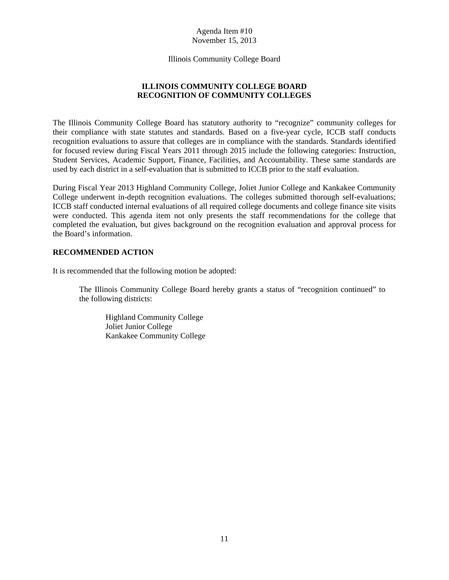Illinois Community College Board

# **ILLINOIS COMMUNITY COLLEGE BOARD RECOGNITION OF COMMUNITY COLLEGES**

The Illinois Community College Board has statutory authority to "recognize" community colleges for their compliance with state statutes and standards. Based on a five-year cycle, ICCB staff conducts recognition evaluations to assure that colleges are in compliance with the standards. Standards identified for focused review during Fiscal Years 2011 through 2015 include the following categories: Instruction, Student Services, Academic Support, Finance, Facilities, and Accountability. These same standards are used by each district in a self-evaluation that is submitted to ICCB prior to the staff evaluation.

During Fiscal Year 2013 Highland Community College, Joliet Junior College and Kankakee Community College underwent in-depth recognition evaluations. The colleges submitted thorough self-evaluations; ICCB staff conducted internal evaluations of all required college documents and college finance site visits were conducted. This agenda item not only presents the staff recommendations for the college that completed the evaluation, but gives background on the recognition evaluation and approval process for the Board's information.

## **RECOMMENDED ACTION**

It is recommended that the following motion be adopted:

The Illinois Community College Board hereby grants a status of "recognition continued" to the following districts:

 Highland Community College Joliet Junior College Kankakee Community College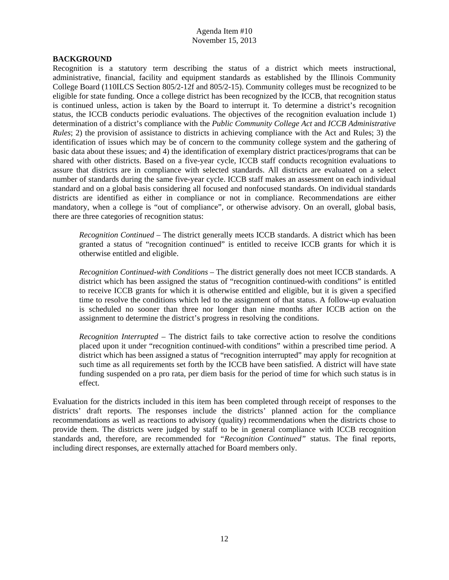#### **BACKGROUND**

Recognition is a statutory term describing the status of a district which meets instructional, administrative, financial, facility and equipment standards as established by the Illinois Community College Board (110ILCS Section 805/2-12f and 805/2-15). Community colleges must be recognized to be eligible for state funding. Once a college district has been recognized by the ICCB, that recognition status is continued unless, action is taken by the Board to interrupt it. To determine a district's recognition status, the ICCB conducts periodic evaluations. The objectives of the recognition evaluation include 1) determination of a district's compliance with the *Public Community College Act* and *ICCB Administrative Rules*; 2) the provision of assistance to districts in achieving compliance with the Act and Rules; 3) the identification of issues which may be of concern to the community college system and the gathering of basic data about these issues; and 4) the identification of exemplary district practices/programs that can be shared with other districts. Based on a five-year cycle, ICCB staff conducts recognition evaluations to assure that districts are in compliance with selected standards. All districts are evaluated on a select number of standards during the same five-year cycle. ICCB staff makes an assessment on each individual standard and on a global basis considering all focused and nonfocused standards. On individual standards districts are identified as either in compliance or not in compliance. Recommendations are either mandatory, when a college is "out of compliance", or otherwise advisory. On an overall, global basis, there are three categories of recognition status:

*Recognition Continued* – The district generally meets ICCB standards. A district which has been granted a status of "recognition continued" is entitled to receive ICCB grants for which it is otherwise entitled and eligible.

 *Recognition Continued-with Conditions* – The district generally does not meet ICCB standards. A district which has been assigned the status of "recognition continued-with conditions" is entitled to receive ICCB grants for which it is otherwise entitled and eligible, but it is given a specified time to resolve the conditions which led to the assignment of that status. A follow-up evaluation is scheduled no sooner than three nor longer than nine months after ICCB action on the assignment to determine the district's progress in resolving the conditions.

*Recognition Interrupted* – The district fails to take corrective action to resolve the conditions placed upon it under "recognition continued-with conditions" within a prescribed time period. A district which has been assigned a status of "recognition interrupted" may apply for recognition at such time as all requirements set forth by the ICCB have been satisfied. A district will have state funding suspended on a pro rata, per diem basis for the period of time for which such status is in effect.

Evaluation for the districts included in this item has been completed through receipt of responses to the districts' draft reports. The responses include the districts' planned action for the compliance recommendations as well as reactions to advisory (quality) recommendations when the districts chose to provide them. The districts were judged by staff to be in general compliance with ICCB recognition standards and, therefore, are recommended for *"Recognition Continued"* status. The final reports, including direct responses, are externally attached for Board members only.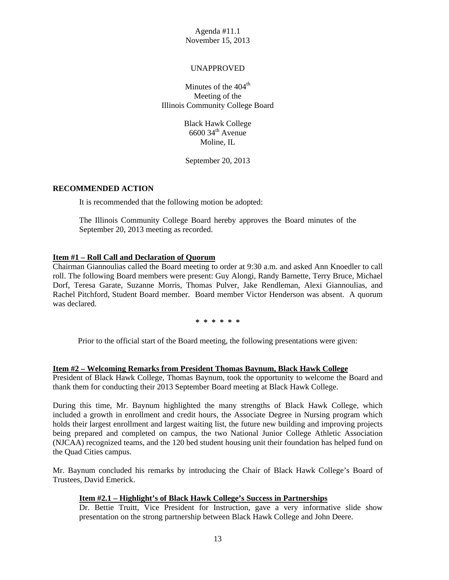## UNAPPROVED

Minutes of the  $404<sup>th</sup>$ Meeting of the Illinois Community College Board

> Black Hawk College  $6600$  34<sup>th</sup> Avenue Moline, IL

September 20, 2013

## **RECOMMENDED ACTION**

It is recommended that the following motion be adopted:

The Illinois Community College Board hereby approves the Board minutes of the September 20, 2013 meeting as recorded.

## **Item #1 – Roll Call and Declaration of Quorum**

Chairman Giannoulias called the Board meeting to order at 9:30 a.m. and asked Ann Knoedler to call roll. The following Board members were present: Guy Alongi, Randy Barnette, Terry Bruce, Michael Dorf, Teresa Garate, Suzanne Morris, Thomas Pulver, Jake Rendleman, Alexi Giannoulias, and Rachel Pitchford, Student Board member. Board member Victor Henderson was absent. A quorum was declared.

**\* \* \* \* \* \*** 

Prior to the official start of the Board meeting, the following presentations were given:

## **Item #2 – Welcoming Remarks from President Thomas Baynum, Black Hawk College**

President of Black Hawk College, Thomas Baynum, took the opportunity to welcome the Board and thank them for conducting their 2013 September Board meeting at Black Hawk College.

During this time, Mr. Baynum highlighted the many strengths of Black Hawk College, which included a growth in enrollment and credit hours, the Associate Degree in Nursing program which holds their largest enrollment and largest waiting list, the future new building and improving projects being prepared and completed on campus, the two National Junior College Athletic Association (NJCAA) recognized teams, and the 120 bed student housing unit their foundation has helped fund on the Quad Cities campus.

Mr. Baynum concluded his remarks by introducing the Chair of Black Hawk College's Board of Trustees, David Emerick.

## **Item #2.1 – Highlight's of Black Hawk College's Success in Partnerships**

Dr. Bettie Truitt, Vice President for Instruction, gave a very informative slide show presentation on the strong partnership between Black Hawk College and John Deere.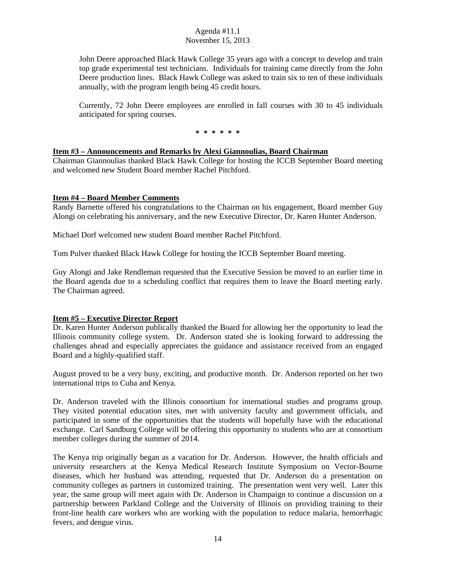John Deere approached Black Hawk College 35 years ago with a concept to develop and train top grade experimental test technicians. Individuals for training came directly from the John Deere production lines. Black Hawk College was asked to train six to ten of these individuals annually, with the program length being 45 credit hours.

Currently, 72 John Deere employees are enrolled in fall courses with 30 to 45 individuals anticipated for spring courses.

**\* \* \* \* \* \*** 

#### **Item #3 – Announcements and Remarks by Alexi Giannoulias, Board Chairman**

Chairman Giannoulias thanked Black Hawk College for hosting the ICCB September Board meeting and welcomed new Student Board member Rachel Pitchford.

#### **Item #4 – Board Member Comments**

Randy Barnette offered his congratulations to the Chairman on his engagement, Board member Guy Alongi on celebrating his anniversary, and the new Executive Director, Dr. Karen Hunter Anderson.

Michael Dorf welcomed new student Board member Rachel Pitchford.

Tom Pulver thanked Black Hawk College for hosting the ICCB September Board meeting.

Guy Alongi and Jake Rendleman requested that the Executive Session be moved to an earlier time in the Board agenda due to a scheduling conflict that requires them to leave the Board meeting early. The Chairman agreed.

## **Item #5 – Executive Director Report**

Dr. Karen Hunter Anderson publically thanked the Board for allowing her the opportunity to lead the Illinois community college system. Dr. Anderson stated she is looking forward to addressing the challenges ahead and especially appreciates the guidance and assistance received from an engaged Board and a highly-qualified staff.

August proved to be a very busy, exciting, and productive month. Dr. Anderson reported on her two international trips to Cuba and Kenya.

Dr. Anderson traveled with the Illinois consortium for international studies and programs group. They visited potential education sites, met with university faculty and government officials, and participated in some of the opportunities that the students will hopefully have with the educational exchange. Carl Sandburg College will be offering this opportunity to students who are at consortium member colleges during the summer of 2014.

The Kenya trip originally began as a vacation for Dr. Anderson. However, the health officials and university researchers at the Kenya Medical Research Institute Symposium on Vector-Bourne diseases, which her husband was attending, requested that Dr. Anderson do a presentation on community colleges as partners in customized training. The presentation went very well. Later this year, the same group will meet again with Dr. Anderson in Champaign to continue a discussion on a partnership between Parkland College and the University of Illinois on providing training to their front-line health care workers who are working with the population to reduce malaria, hemorrhagic fevers, and dengue virus.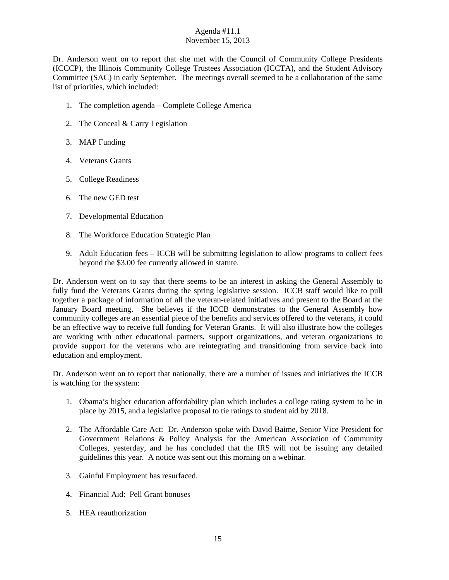Dr. Anderson went on to report that she met with the Council of Community College Presidents (ICCCP), the Illinois Community College Trustees Association (ICCTA), and the Student Advisory Committee (SAC) in early September. The meetings overall seemed to be a collaboration of the same list of priorities, which included:

- 1. The completion agenda Complete College America
- 2. The Conceal & Carry Legislation
- 3. MAP Funding
- 4. Veterans Grants
- 5. College Readiness
- 6. The new GED test
- 7. Developmental Education
- 8. The Workforce Education Strategic Plan
- 9. Adult Education fees ICCB will be submitting legislation to allow programs to collect fees beyond the \$3.00 fee currently allowed in statute.

Dr. Anderson went on to say that there seems to be an interest in asking the General Assembly to fully fund the Veterans Grants during the spring legislative session. ICCB staff would like to pull together a package of information of all the veteran-related initiatives and present to the Board at the January Board meeting. She believes if the ICCB demonstrates to the General Assembly how community colleges are an essential piece of the benefits and services offered to the veterans, it could be an effective way to receive full funding for Veteran Grants. It will also illustrate how the colleges are working with other educational partners, support organizations, and veteran organizations to provide support for the veterans who are reintegrating and transitioning from service back into education and employment.

Dr. Anderson went on to report that nationally, there are a number of issues and initiatives the ICCB is watching for the system:

- 1. Obama's higher education affordability plan which includes a college rating system to be in place by 2015, and a legislative proposal to tie ratings to student aid by 2018.
- 2. The Affordable Care Act: Dr. Anderson spoke with David Baime, Senior Vice President for Government Relations & Policy Analysis for the American Association of Community Colleges, yesterday, and he has concluded that the IRS will not be issuing any detailed guidelines this year. A notice was sent out this morning on a webinar.
- 3. Gainful Employment has resurfaced.
- 4. Financial Aid: Pell Grant bonuses
- 5. HEA reauthorization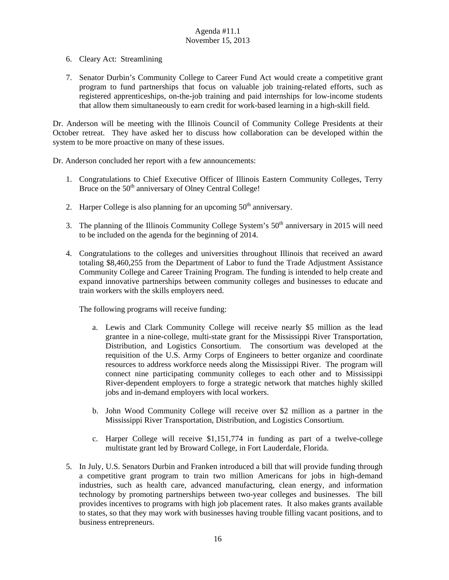- 6. Cleary Act: Streamlining
- 7. Senator Durbin's Community College to Career Fund Act would create a competitive grant program to fund partnerships that focus on valuable job training-related efforts, such as registered apprenticeships, on-the-job training and paid internships for low-income students that allow them simultaneously to earn credit for work-based learning in a high-skill field.

Dr. Anderson will be meeting with the Illinois Council of Community College Presidents at their October retreat. They have asked her to discuss how collaboration can be developed within the system to be more proactive on many of these issues.

Dr. Anderson concluded her report with a few announcements:

- 1. Congratulations to Chief Executive Officer of Illinois Eastern Community Colleges, Terry Bruce on the  $50<sup>th</sup>$  anniversary of Olney Central College!
- 2. Harper College is also planning for an upcoming  $50<sup>th</sup>$  anniversary.
- 3. The planning of the Illinois Community College System's  $50<sup>th</sup>$  anniversary in 2015 will need to be included on the agenda for the beginning of 2014.
- 4. Congratulations to the colleges and universities throughout Illinois that received an award totaling \$8,460,255 from the Department of Labor to fund the Trade Adjustment Assistance Community College and Career Training Program. The funding is intended to help create and expand innovative partnerships between community colleges and businesses to educate and train workers with the skills employers need.

The following programs will receive funding:

- a. Lewis and Clark Community College will receive nearly \$5 million as the lead grantee in a nine-college, multi-state grant for the Mississippi River Transportation, Distribution, and Logistics Consortium. The consortium was developed at the requisition of the U.S. Army Corps of Engineers to better organize and coordinate resources to address workforce needs along the Mississippi River. The program will connect nine participating community colleges to each other and to Mississippi River-dependent employers to forge a strategic network that matches highly skilled jobs and in-demand employers with local workers.
- b. John Wood Community College will receive over \$2 million as a partner in the Mississippi River Transportation, Distribution, and Logistics Consortium.
- c. Harper College will receive \$1,151,774 in funding as part of a twelve-college multistate grant led by Broward College, in Fort Lauderdale, Florida.
- 5. In July, U.S. Senators Durbin and Franken introduced a bill that will provide funding through a competitive grant program to train two million Americans for jobs in high-demand industries, such as health care, advanced manufacturing, clean energy, and information technology by promoting partnerships between two-year colleges and businesses. The bill provides incentives to programs with high job placement rates. It also makes grants available to states, so that they may work with businesses having trouble filling vacant positions, and to business entrepreneurs.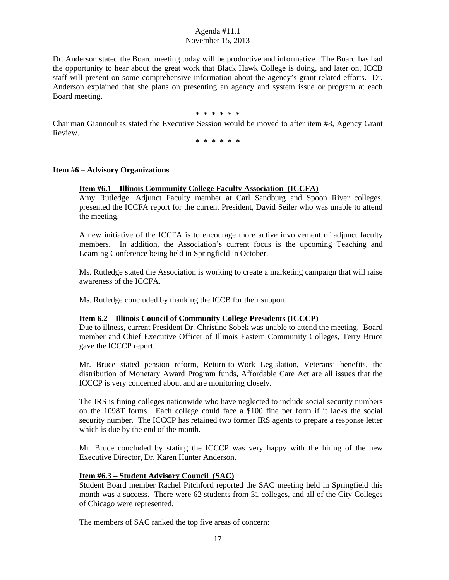Dr. Anderson stated the Board meeting today will be productive and informative. The Board has had the opportunity to hear about the great work that Black Hawk College is doing, and later on, ICCB staff will present on some comprehensive information about the agency's grant-related efforts. Dr. Anderson explained that she plans on presenting an agency and system issue or program at each Board meeting.

#### **\* \* \* \* \* \***

Chairman Giannoulias stated the Executive Session would be moved to after item #8, Agency Grant Review.

**\* \* \* \* \* \*** 

#### **Item #6 – Advisory Organizations**

#### **Item #6.1 – Illinois Community College Faculty Association (ICCFA)**

Amy Rutledge, Adjunct Faculty member at Carl Sandburg and Spoon River colleges, presented the ICCFA report for the current President, David Seiler who was unable to attend the meeting.

A new initiative of the ICCFA is to encourage more active involvement of adjunct faculty members. In addition, the Association's current focus is the upcoming Teaching and Learning Conference being held in Springfield in October.

Ms. Rutledge stated the Association is working to create a marketing campaign that will raise awareness of the ICCFA.

Ms. Rutledge concluded by thanking the ICCB for their support.

#### **Item 6.2 – Illinois Council of Community College Presidents (ICCCP)**

Due to illness, current President Dr. Christine Sobek was unable to attend the meeting. Board member and Chief Executive Officer of Illinois Eastern Community Colleges, Terry Bruce gave the ICCCP report.

Mr. Bruce stated pension reform, Return-to-Work Legislation, Veterans' benefits, the distribution of Monetary Award Program funds, Affordable Care Act are all issues that the ICCCP is very concerned about and are monitoring closely.

The IRS is fining colleges nationwide who have neglected to include social security numbers on the 1098T forms. Each college could face a \$100 fine per form if it lacks the social security number. The ICCCP has retained two former IRS agents to prepare a response letter which is due by the end of the month.

Mr. Bruce concluded by stating the ICCCP was very happy with the hiring of the new Executive Director, Dr. Karen Hunter Anderson.

#### **Item #6.3 – Student Advisory Council (SAC)**

Student Board member Rachel Pitchford reported the SAC meeting held in Springfield this month was a success. There were 62 students from 31 colleges, and all of the City Colleges of Chicago were represented.

The members of SAC ranked the top five areas of concern: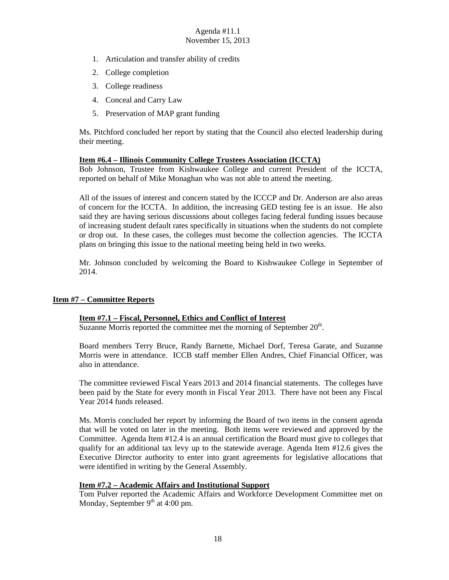- 1. Articulation and transfer ability of credits
- 2. College completion
- 3. College readiness
- 4. Conceal and Carry Law
- 5. Preservation of MAP grant funding

Ms. Pitchford concluded her report by stating that the Council also elected leadership during their meeting.

## **Item #6.4 – Illinois Community College Trustees Association (ICCTA)**

Bob Johnson, Trustee from Kishwaukee College and current President of the ICCTA, reported on behalf of Mike Monaghan who was not able to attend the meeting.

All of the issues of interest and concern stated by the ICCCP and Dr. Anderson are also areas of concern for the ICCTA. In addition, the increasing GED testing fee is an issue. He also said they are having serious discussions about colleges facing federal funding issues because of increasing student default rates specifically in situations when the students do not complete or drop out. In these cases, the colleges must become the collection agencies. The ICCTA plans on bringing this issue to the national meeting being held in two weeks.

Mr. Johnson concluded by welcoming the Board to Kishwaukee College in September of 2014.

## **Item #7 – Committee Reports**

## **Item #7.1 – Fiscal, Personnel, Ethics and Conflict of Interest**

Suzanne Morris reported the committee met the morning of September  $20<sup>th</sup>$ .

Board members Terry Bruce, Randy Barnette, Michael Dorf, Teresa Garate, and Suzanne Morris were in attendance. ICCB staff member Ellen Andres, Chief Financial Officer, was also in attendance.

The committee reviewed Fiscal Years 2013 and 2014 financial statements. The colleges have been paid by the State for every month in Fiscal Year 2013. There have not been any Fiscal Year 2014 funds released.

Ms. Morris concluded her report by informing the Board of two items in the consent agenda that will be voted on later in the meeting. Both items were reviewed and approved by the Committee. Agenda Item #12.4 is an annual certification the Board must give to colleges that qualify for an additional tax levy up to the statewide average. Agenda Item #12.6 gives the Executive Director authority to enter into grant agreements for legislative allocations that were identified in writing by the General Assembly.

## **Item #7.2 – Academic Affairs and Institutional Support**

Tom Pulver reported the Academic Affairs and Workforce Development Committee met on Monday, September  $9<sup>th</sup>$  at 4:00 pm.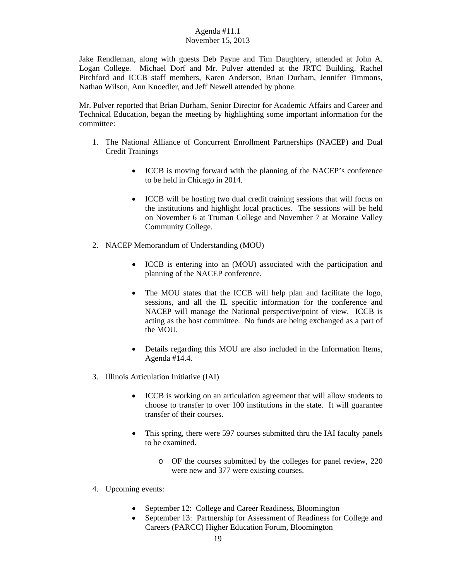Jake Rendleman, along with guests Deb Payne and Tim Daughtery, attended at John A. Logan College. Michael Dorf and Mr. Pulver attended at the JRTC Building. Rachel Pitchford and ICCB staff members, Karen Anderson, Brian Durham, Jennifer Timmons, Nathan Wilson, Ann Knoedler, and Jeff Newell attended by phone.

Mr. Pulver reported that Brian Durham, Senior Director for Academic Affairs and Career and Technical Education, began the meeting by highlighting some important information for the committee:

- 1. The National Alliance of Concurrent Enrollment Partnerships (NACEP) and Dual Credit Trainings
	- ICCB is moving forward with the planning of the NACEP's conference to be held in Chicago in 2014.
	- ICCB will be hosting two dual credit training sessions that will focus on the institutions and highlight local practices. The sessions will be held on November 6 at Truman College and November 7 at Moraine Valley Community College.
- 2. NACEP Memorandum of Understanding (MOU)
	- ICCB is entering into an (MOU) associated with the participation and planning of the NACEP conference.
	- The MOU states that the ICCB will help plan and facilitate the logo, sessions, and all the IL specific information for the conference and NACEP will manage the National perspective/point of view. ICCB is acting as the host committee. No funds are being exchanged as a part of the MOU.
	- Details regarding this MOU are also included in the Information Items, Agenda #14.4.
- 3. Illinois Articulation Initiative (IAI)
	- ICCB is working on an articulation agreement that will allow students to choose to transfer to over 100 institutions in the state. It will guarantee transfer of their courses.
	- This spring, there were 597 courses submitted thru the IAI faculty panels to be examined.
		- o OF the courses submitted by the colleges for panel review, 220 were new and 377 were existing courses.
- 4. Upcoming events:
	- September 12: College and Career Readiness, Bloomington
	- September 13: Partnership for Assessment of Readiness for College and Careers (PARCC) Higher Education Forum, Bloomington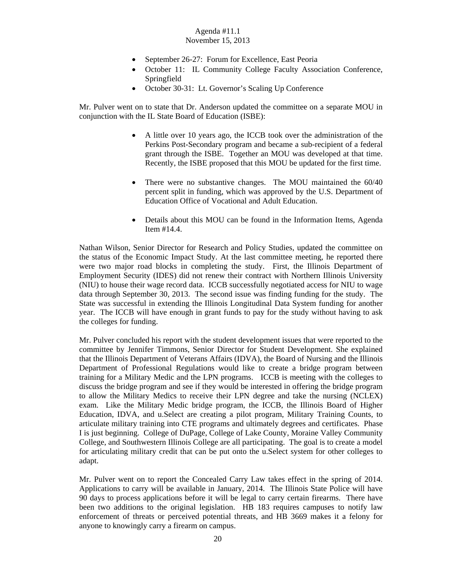- September 26-27: Forum for Excellence, East Peoria
- October 11: IL Community College Faculty Association Conference, Springfield
- October 30-31: Lt. Governor's Scaling Up Conference

Mr. Pulver went on to state that Dr. Anderson updated the committee on a separate MOU in conjunction with the IL State Board of Education (ISBE):

- A little over 10 years ago, the ICCB took over the administration of the Perkins Post-Secondary program and became a sub-recipient of a federal grant through the ISBE. Together an MOU was developed at that time. Recently, the ISBE proposed that this MOU be updated for the first time.
- There were no substantive changes. The MOU maintained the 60/40 percent split in funding, which was approved by the U.S. Department of Education Office of Vocational and Adult Education.
- Details about this MOU can be found in the Information Items, Agenda Item #14.4.

Nathan Wilson, Senior Director for Research and Policy Studies, updated the committee on the status of the Economic Impact Study. At the last committee meeting, he reported there were two major road blocks in completing the study. First, the Illinois Department of Employment Security (IDES) did not renew their contract with Northern Illinois University (NIU) to house their wage record data. ICCB successfully negotiated access for NIU to wage data through September 30, 2013. The second issue was finding funding for the study. The State was successful in extending the Illinois Longitudinal Data System funding for another year. The ICCB will have enough in grant funds to pay for the study without having to ask the colleges for funding.

Mr. Pulver concluded his report with the student development issues that were reported to the committee by Jennifer Timmons, Senior Director for Student Development. She explained that the Illinois Department of Veterans Affairs (IDVA), the Board of Nursing and the Illinois Department of Professional Regulations would like to create a bridge program between training for a Military Medic and the LPN programs. ICCB is meeting with the colleges to discuss the bridge program and see if they would be interested in offering the bridge program to allow the Military Medics to receive their LPN degree and take the nursing (NCLEX) exam. Like the Military Medic bridge program, the ICCB, the Illinois Board of Higher Education, IDVA, and u.Select are creating a pilot program, Military Training Counts, to articulate military training into CTE programs and ultimately degrees and certificates. Phase I is just beginning. College of DuPage, College of Lake County, Moraine Valley Community College, and Southwestern Illinois College are all participating. The goal is to create a model for articulating military credit that can be put onto the u.Select system for other colleges to adapt.

Mr. Pulver went on to report the Concealed Carry Law takes effect in the spring of 2014. Applications to carry will be available in January, 2014. The Illinois State Police will have 90 days to process applications before it will be legal to carry certain firearms. There have been two additions to the original legislation. HB 183 requires campuses to notify law enforcement of threats or perceived potential threats, and HB 3669 makes it a felony for anyone to knowingly carry a firearm on campus.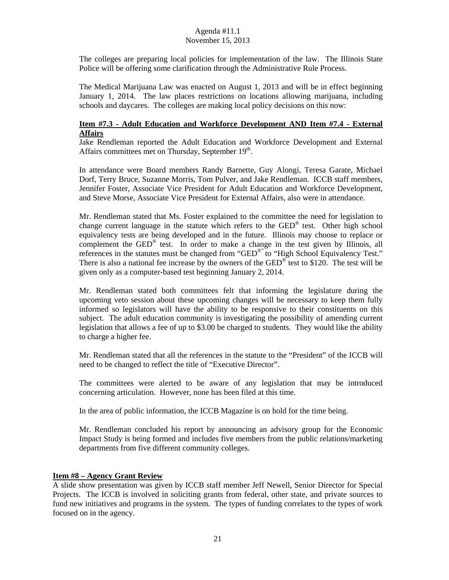The colleges are preparing local policies for implementation of the law. The Illinois State Police will be offering some clarification through the Administrative Rule Process.

The Medical Marijuana Law was enacted on August 1, 2013 and will be in effect beginning January 1, 2014. The law places restrictions on locations allowing marijuana, including schools and daycares. The colleges are making local policy decisions on this now:

## **Item #7.3 - Adult Education and Workforce Development AND Item #7.4 - External Affairs**

Jake Rendleman reported the Adult Education and Workforce Development and External Affairs committees met on Thursday, September  $19<sup>th</sup>$ .

In attendance were Board members Randy Barnette, Guy Alongi, Teresa Garate, Michael Dorf, Terry Bruce, Suzanne Morris, Tom Pulver, and Jake Rendleman. ICCB staff members, Jennifer Foster, Associate Vice President for Adult Education and Workforce Development, and Steve Morse, Associate Vice President for External Affairs, also were in attendance.

Mr. Rendleman stated that Ms. Foster explained to the committee the need for legislation to change current language in the statute which refers to the GED® test. Other high school equivalency tests are being developed and in the future. Illinois may choose to replace or complement the  $GED^{\otimes}$  test. In order to make a change in the test given by Illinois, all references in the statutes must be changed from "GED®" to "High School Equivalency Test." There is also a national fee increase by the owners of the GED<sup>®</sup> test to \$120. The test will be given only as a computer-based test beginning January 2, 2014.

Mr. Rendleman stated both committees felt that informing the legislature during the upcoming veto session about these upcoming changes will be necessary to keep them fully informed so legislators will have the ability to be responsive to their constituents on this subject. The adult education community is investigating the possibility of amending current legislation that allows a fee of up to \$3.00 be charged to students. They would like the ability to charge a higher fee.

Mr. Rendleman stated that all the references in the statute to the "President" of the ICCB will need to be changed to reflect the title of "Executive Director".

The committees were alerted to be aware of any legislation that may be introduced concerning articulation. However, none has been filed at this time.

In the area of public information, the ICCB Magazine is on hold for the time being.

Mr. Rendleman concluded his report by announcing an advisory group for the Economic Impact Study is being formed and includes five members from the public relations/marketing departments from five different community colleges.

#### **Item #8 – Agency Grant Review**

A slide show presentation was given by ICCB staff member Jeff Newell, Senior Director for Special Projects. The ICCB is involved in soliciting grants from federal, other state, and private sources to fund new initiatives and programs in the system. The types of funding correlates to the types of work focused on in the agency.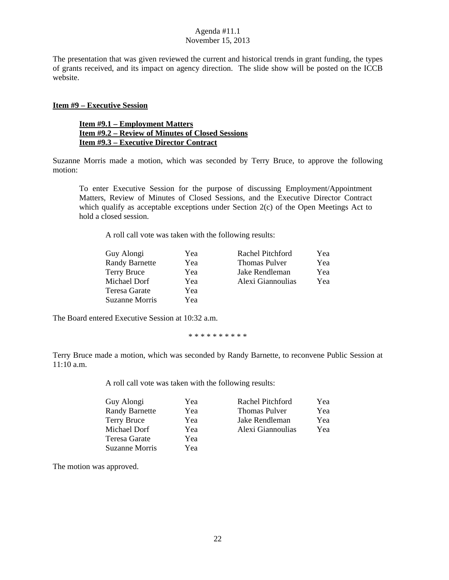The presentation that was given reviewed the current and historical trends in grant funding, the types of grants received, and its impact on agency direction. The slide show will be posted on the ICCB website.

#### **Item #9 – Executive Session**

#### **Item #9.1 – Employment Matters Item #9.2 – Review of Minutes of Closed Sessions Item #9.3 – Executive Director Contract**

Suzanne Morris made a motion, which was seconded by Terry Bruce, to approve the following motion:

To enter Executive Session for the purpose of discussing Employment/Appointment Matters, Review of Minutes of Closed Sessions, and the Executive Director Contract which qualify as acceptable exceptions under Section 2(c) of the Open Meetings Act to hold a closed session.

A roll call vote was taken with the following results:

| Guy Alongi            | Yea | Rachel Pitchford     | Yea |
|-----------------------|-----|----------------------|-----|
| <b>Randy Barnette</b> | Yea | <b>Thomas Pulver</b> | Yea |
| Terry Bruce           | Yea | Jake Rendleman       | Yea |
| Michael Dorf          | Yea | Alexi Giannoulias    | Yea |
| Teresa Garate         | Yea |                      |     |
| Suzanne Morris        | Yea |                      |     |
|                       |     |                      |     |

The Board entered Executive Session at 10:32 a.m.

\* \* \* \* \* \* \* \* \* \*

Terry Bruce made a motion, which was seconded by Randy Barnette, to reconvene Public Session at 11:10 a.m.

A roll call vote was taken with the following results:

| Guy Alongi            | Yea | Rachel Pitchford     | Yea |
|-----------------------|-----|----------------------|-----|
| <b>Randy Barnette</b> | Yea | <b>Thomas Pulver</b> | Yea |
| Terry Bruce           | Yea | Jake Rendleman       | Yea |
| Michael Dorf          | Yea | Alexi Giannoulias    | Yea |
| Teresa Garate         | Yea |                      |     |
| Suzanne Morris        | Yea |                      |     |

The motion was approved.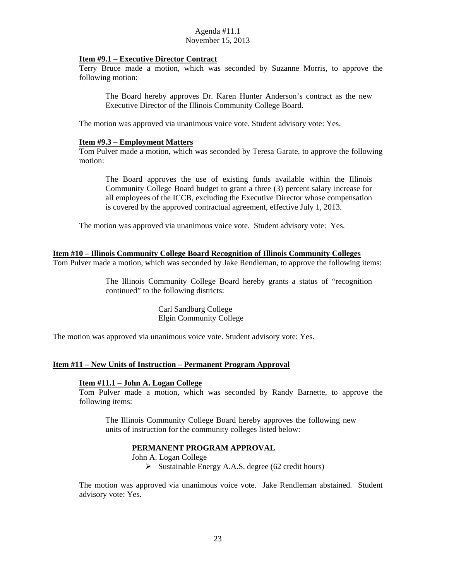#### **Item #9.1 – Executive Director Contract**

Terry Bruce made a motion, which was seconded by Suzanne Morris, to approve the following motion:

The Board hereby approves Dr. Karen Hunter Anderson's contract as the new Executive Director of the Illinois Community College Board.

The motion was approved via unanimous voice vote. Student advisory vote: Yes.

#### **Item #9.3 – Employment Matters**

Tom Pulver made a motion, which was seconded by Teresa Garate, to approve the following motion:

The Board approves the use of existing funds available within the Illinois Community College Board budget to grant a three (3) percent salary increase for all employees of the ICCB, excluding the Executive Director whose compensation is covered by the approved contractual agreement, effective July 1, 2013.

The motion was approved via unanimous voice vote. Student advisory vote: Yes.

## **Item #10 – Illinois Community College Board Recognition of Illinois Community Colleges**

Tom Pulver made a motion, which was seconded by Jake Rendleman, to approve the following items:

The Illinois Community College Board hereby grants a status of "recognition continued" to the following districts:

> Carl Sandburg College Elgin Community College

The motion was approved via unanimous voice vote. Student advisory vote: Yes.

## **Item #11 – New Units of Instruction – Permanent Program Approval**

## **Item #11.1 – John A. Logan College**

Tom Pulver made a motion, which was seconded by Randy Barnette, to approve the following items:

The Illinois Community College Board hereby approves the following new units of instruction for the community colleges listed below:

## **PERMANENT PROGRAM APPROVAL**

#### John A. Logan College

 $\triangleright$  Sustainable Energy A.A.S. degree (62 credit hours)

The motion was approved via unanimous voice vote. Jake Rendleman abstained. Student advisory vote: Yes.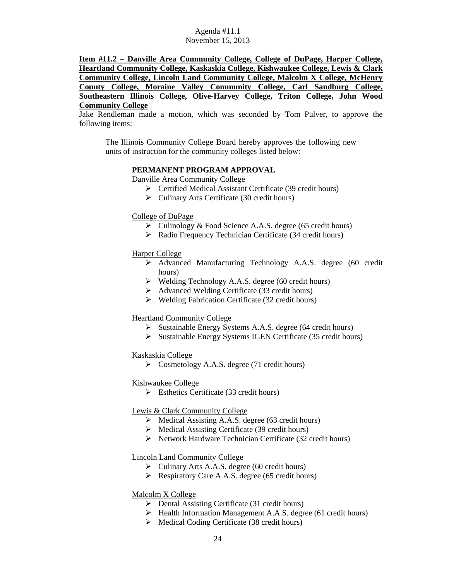**Item #11.2 – Danville Area Community College, College of DuPage, Harper College, Heartland Community College, Kaskaskia College, Kishwaukee College, Lewis & Clark Community College, Lincoln Land Community College, Malcolm X College, McHenry County College, Moraine Valley Community College, Carl Sandburg College, Southeastern Illinois College, Olive-Harvey College, Triton College, John Wood Community College** 

Jake Rendleman made a motion, which was seconded by Tom Pulver, to approve the following items:

The Illinois Community College Board hereby approves the following new units of instruction for the community colleges listed below:

#### **PERMANENT PROGRAM APPROVAL**

Danville Area Community College

- Certified Medical Assistant Certificate (39 credit hours)
- $\triangleright$  Culinary Arts Certificate (30 credit hours)

#### College of DuPage

- Culinology & Food Science A.A.S. degree (65 credit hours)
- $\triangleright$  Radio Frequency Technician Certificate (34 credit hours)

## Harper College

- Advanced Manufacturing Technology A.A.S. degree (60 credit hours)
- Welding Technology A.A.S. degree (60 credit hours)
- Advanced Welding Certificate (33 credit hours)
- $\triangleright$  Welding Fabrication Certificate (32 credit hours)

#### Heartland Community College

- $\triangleright$  Sustainable Energy Systems A.A.S. degree (64 credit hours)
- $\triangleright$  Sustainable Energy Systems IGEN Certificate (35 credit hours)

## Kaskaskia College

 $\triangleright$  Cosmetology A.A.S. degree (71 credit hours)

## Kishwaukee College

 $\triangleright$  Esthetics Certificate (33 credit hours)

## Lewis & Clark Community College

- $\triangleright$  Medical Assisting A.A.S. degree (63 credit hours)
- $\triangleright$  Medical Assisting Certificate (39 credit hours)
- $\triangleright$  Network Hardware Technician Certificate (32 credit hours)

#### Lincoln Land Community College

- $\triangleright$  Culinary Arts A.A.S. degree (60 credit hours)
- $\triangleright$  Respiratory Care A.A.S. degree (65 credit hours)

## Malcolm X College

- $\triangleright$  Dental Assisting Certificate (31 credit hours)
- $\triangleright$  Health Information Management A.A.S. degree (61 credit hours)
- $\triangleright$  Medical Coding Certificate (38 credit hours)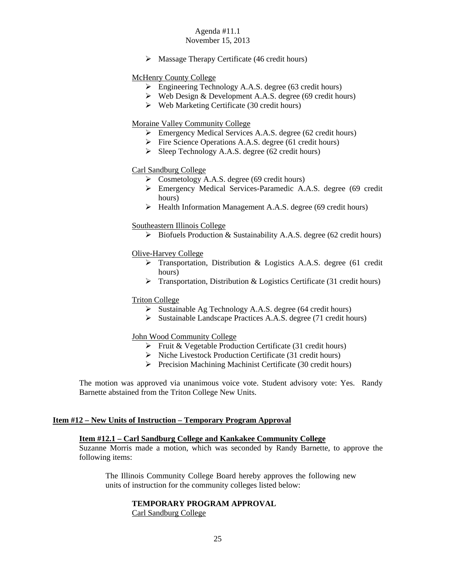# Agenda #11.1

# November 15, 2013

 $\triangleright$  Massage Therapy Certificate (46 credit hours)

## McHenry County College

- $\triangleright$  Engineering Technology A.A.S. degree (63 credit hours)
- $\triangleright$  Web Design & Development A.A.S. degree (69 credit hours)
- $\triangleright$  Web Marketing Certificate (30 credit hours)

## Moraine Valley Community College

- Emergency Medical Services A.A.S. degree (62 credit hours)
- $\triangleright$  Fire Science Operations A.A.S. degree (61 credit hours)
- $\triangleright$  Sleep Technology A.A.S. degree (62 credit hours)

## Carl Sandburg College

- $\triangleright$  Cosmetology A.A.S. degree (69 credit hours)
- Emergency Medical Services-Paramedic A.A.S. degree (69 credit hours)
- $\triangleright$  Health Information Management A.A.S. degree (69 credit hours)

## Southeastern Illinois College

 $\triangleright$  Biofuels Production & Sustainability A.A.S. degree (62 credit hours)

# Olive-Harvey College

- Transportation, Distribution & Logistics A.A.S. degree (61 credit hours)
- $\triangleright$  Transportation, Distribution & Logistics Certificate (31 credit hours)

## Triton College

- $\triangleright$  Sustainable Ag Technology A.A.S. degree (64 credit hours)
- $\triangleright$  Sustainable Landscape Practices A.A.S. degree (71 credit hours)

## John Wood Community College

- $\triangleright$  Fruit & Vegetable Production Certificate (31 credit hours)
- $\triangleright$  Niche Livestock Production Certificate (31 credit hours)
- $\triangleright$  Precision Machining Machinist Certificate (30 credit hours)

The motion was approved via unanimous voice vote. Student advisory vote: Yes. Randy Barnette abstained from the Triton College New Units.

## **Item #12 – New Units of Instruction – Temporary Program Approval**

## **Item #12.1 – Carl Sandburg College and Kankakee Community College**

Suzanne Morris made a motion, which was seconded by Randy Barnette, to approve the following items:

The Illinois Community College Board hereby approves the following new units of instruction for the community colleges listed below:

# **TEMPORARY PROGRAM APPROVAL**

Carl Sandburg College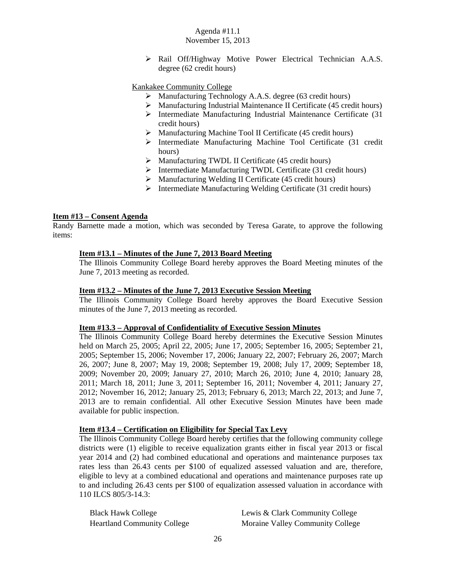Rail Off/Highway Motive Power Electrical Technician A.A.S. degree (62 credit hours)

#### Kankakee Community College

- Manufacturing Technology A.A.S. degree (63 credit hours)
- Manufacturing Industrial Maintenance II Certificate (45 credit hours)
- $\triangleright$  Intermediate Manufacturing Industrial Maintenance Certificate (31) credit hours)
- $\triangleright$  Manufacturing Machine Tool II Certificate (45 credit hours)
- Intermediate Manufacturing Machine Tool Certificate (31 credit hours)
- $\triangleright$  Manufacturing TWDL II Certificate (45 credit hours)
- $\triangleright$  Intermediate Manufacturing TWDL Certificate (31 credit hours)
- $\triangleright$  Manufacturing Welding II Certificate (45 credit hours)
- $\triangleright$  Intermediate Manufacturing Welding Certificate (31 credit hours)

#### **Item #13 – Consent Agenda**

Randy Barnette made a motion, which was seconded by Teresa Garate, to approve the following items:

## **Item #13.1 – Minutes of the June 7, 2013 Board Meeting**

The Illinois Community College Board hereby approves the Board Meeting minutes of the June 7, 2013 meeting as recorded.

#### **Item #13.2 – Minutes of the June 7, 2013 Executive Session Meeting**

The Illinois Community College Board hereby approves the Board Executive Session minutes of the June 7, 2013 meeting as recorded.

#### **Item #13.3 – Approval of Confidentiality of Executive Session Minutes**

The Illinois Community College Board hereby determines the Executive Session Minutes held on March 25, 2005; April 22, 2005; June 17, 2005; September 16, 2005; September 21, 2005; September 15, 2006; November 17, 2006; January 22, 2007; February 26, 2007; March 26, 2007; June 8, 2007; May 19, 2008; September 19, 2008; July 17, 2009; September 18, 2009; November 20, 2009; January 27, 2010; March 26, 2010; June 4, 2010; January 28, 2011; March 18, 2011; June 3, 2011; September 16, 2011; November 4, 2011; January 27, 2012; November 16, 2012; January 25, 2013; February 6, 2013; March 22, 2013; and June 7, 2013 are to remain confidential. All other Executive Session Minutes have been made available for public inspection.

#### **Item #13.4 – Certification on Eligibility for Special Tax Levy**

The Illinois Community College Board hereby certifies that the following community college districts were (1) eligible to receive equalization grants either in fiscal year 2013 or fiscal year 2014 and (2) had combined educational and operations and maintenance purposes tax rates less than 26.43 cents per \$100 of equalized assessed valuation and are, therefore, eligible to levy at a combined educational and operations and maintenance purposes rate up to and including 26.43 cents per \$100 of equalization assessed valuation in accordance with 110 ILCS 805/3-14.3:

Black Hawk College The Lewis & Clark Community College Heartland Community College Moraine Valley Community College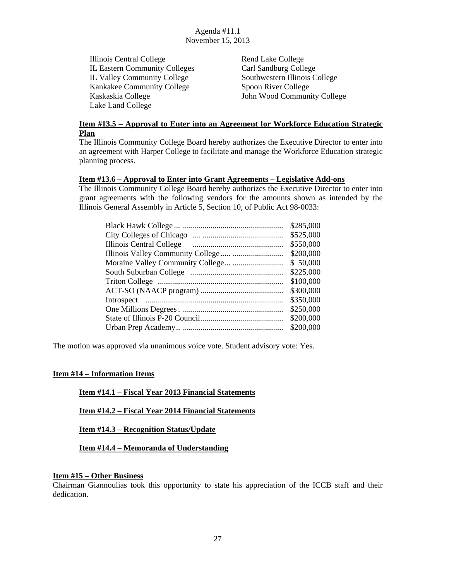Illinois Central College Rend Lake College IL Eastern Community Colleges Carl Sandburg College IL Valley Community College Southwestern Illinois College Kankakee Community College Spoon River College Kaskaskia College John Wood Community College Lake Land College

## **Item #13.5 – Approval to Enter into an Agreement for Workforce Education Strategic Plan**

The Illinois Community College Board hereby authorizes the Executive Director to enter into an agreement with Harper College to facilitate and manage the Workforce Education strategic planning process.

## **Item #13.6 – Approval to Enter into Grant Agreements – Legislative Add-ons**

The Illinois Community College Board hereby authorizes the Executive Director to enter into grant agreements with the following vendors for the amounts shown as intended by the Illinois General Assembly in Article 5, Section 10, of Public Act 98-0033:

| \$285,000 |
|-----------|
| \$525,000 |
| \$550,000 |
| \$200,000 |
| \$50,000  |
| \$225,000 |
| \$100,000 |
| \$300,000 |
| \$350,000 |
| \$250,000 |
| \$200,000 |
| \$200,000 |
|           |

The motion was approved via unanimous voice vote. Student advisory vote: Yes.

## **Item #14 – Information Items**

## **Item #14.1 – Fiscal Year 2013 Financial Statements**

**Item #14.2 – Fiscal Year 2014 Financial Statements** 

**Item #14.3 – Recognition Status/Update** 

**Item #14.4 – Memoranda of Understanding** 

#### **Item #15 – Other Business**

Chairman Giannoulias took this opportunity to state his appreciation of the ICCB staff and their dedication.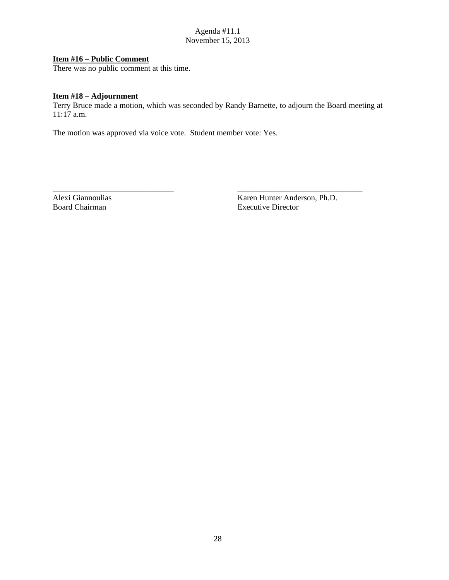## **Item #16 – Public Comment**

There was no public comment at this time.

#### **Item #18 – Adjournment**

Terry Bruce made a motion, which was seconded by Randy Barnette, to adjourn the Board meeting at  $11:17$  a.m.

\_\_\_\_\_\_\_\_\_\_\_\_\_\_\_\_\_\_\_\_\_\_\_\_\_\_\_\_\_\_ \_\_\_\_\_\_\_\_\_\_\_\_\_\_\_\_\_\_\_\_\_\_\_\_\_\_\_\_\_\_\_

The motion was approved via voice vote. Student member vote: Yes.

Alexi Giannoulias Karen Hunter Anderson, Ph.D. Board Chairman Executive Director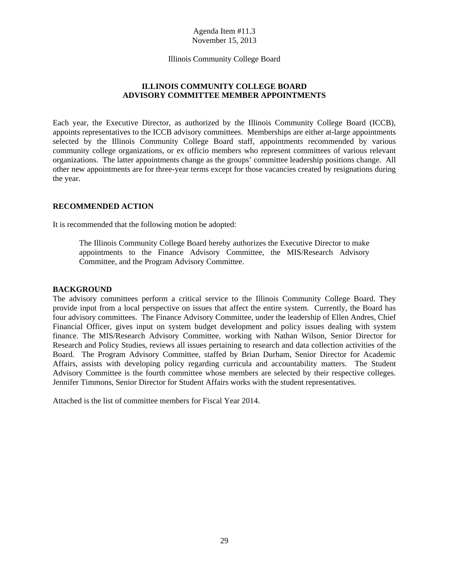Illinois Community College Board

# **ILLINOIS COMMUNITY COLLEGE BOARD ADVISORY COMMITTEE MEMBER APPOINTMENTS**

Each year, the Executive Director, as authorized by the Illinois Community College Board (ICCB), appoints representatives to the ICCB advisory committees. Memberships are either at-large appointments selected by the Illinois Community College Board staff, appointments recommended by various community college organizations, or ex officio members who represent committees of various relevant organizations. The latter appointments change as the groups' committee leadership positions change. All other new appointments are for three-year terms except for those vacancies created by resignations during the year.

## **RECOMMENDED ACTION**

It is recommended that the following motion be adopted:

The Illinois Community College Board hereby authorizes the Executive Director to make appointments to the Finance Advisory Committee, the MIS/Research Advisory Committee, and the Program Advisory Committee.

#### **BACKGROUND**

The advisory committees perform a critical service to the Illinois Community College Board. They provide input from a local perspective on issues that affect the entire system. Currently, the Board has four advisory committees. The Finance Advisory Committee, under the leadership of Ellen Andres, Chief Financial Officer, gives input on system budget development and policy issues dealing with system finance. The MIS/Research Advisory Committee, working with Nathan Wilson, Senior Director for Research and Policy Studies, reviews all issues pertaining to research and data collection activities of the Board. The Program Advisory Committee, staffed by Brian Durham, Senior Director for Academic Affairs, assists with developing policy regarding curricula and accountability matters. The Student Advisory Committee is the fourth committee whose members are selected by their respective colleges. Jennifer Timmons, Senior Director for Student Affairs works with the student representatives.

Attached is the list of committee members for Fiscal Year 2014.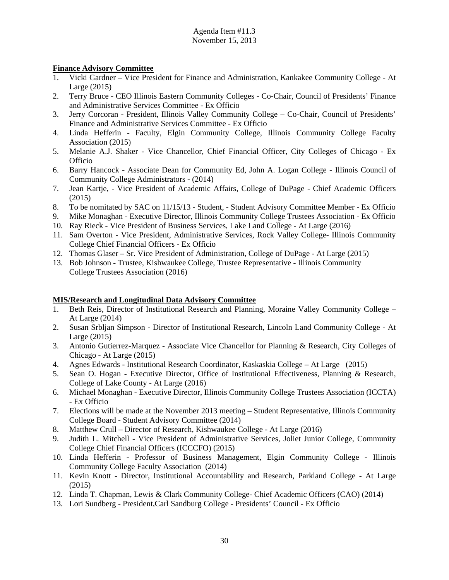## **Finance Advisory Committee**

- 1. Vicki Gardner Vice President for Finance and Administration, Kankakee Community College At Large (2015)
- 2. Terry Bruce CEO Illinois Eastern Community Colleges Co-Chair, Council of Presidents' Finance and Administrative Services Committee - Ex Officio
- 3. Jerry Corcoran President, Illinois Valley Community College Co-Chair, Council of Presidents' Finance and Administrative Services Committee - Ex Officio
- 4. Linda Hefferin Faculty, Elgin Community College, Illinois Community College Faculty Association (2015)
- 5. Melanie A.J. Shaker Vice Chancellor, Chief Financial Officer, City Colleges of Chicago Ex Officio
- 6. Barry Hancock Associate Dean for Community Ed, John A. Logan College Illinois Council of Community College Administrators - (2014)
- 7. Jean Kartje, Vice President of Academic Affairs, College of DuPage Chief Academic Officers (2015)
- 8. To be nomitated by SAC on 11/15/13 Student, Student Advisory Committee Member Ex Officio
- 9. Mike Monaghan Executive Director, Illinois Community College Trustees Association Ex Officio
- 10. Ray Rieck Vice President of Business Services, Lake Land College At Large (2016)
- 11. Sam Overton Vice President, Administrative Services, Rock Valley College- Illinois Community College Chief Financial Officers - Ex Officio
- 12. Thomas Glaser Sr. Vice President of Administration, College of DuPage At Large (2015)
- 13. Bob Johnson Trustee, Kishwaukee College, Trustee Representative Illinois Community College Trustees Association (2016)

# **MIS/Research and Longitudinal Data Advisory Committee**

- 1. Beth Reis, Director of Institutional Research and Planning, Moraine Valley Community College At Large (2014)
- 2. Susan Srbljan Simpson Director of Institutional Research, Lincoln Land Community College At Large (2015)
- 3. Antonio Gutierrez-Marquez Associate Vice Chancellor for Planning & Research, City Colleges of Chicago - At Large (2015)
- 4. Agnes Edwards Institutional Research Coordinator, Kaskaskia College At Large (2015)
- 5. Sean O. Hogan Executive Director, Office of Institutional Effectiveness, Planning & Research, College of Lake County - At Large (2016)
- 6. Michael Monaghan Executive Director, Illinois Community College Trustees Association (ICCTA) - Ex Officio
- 7. Elections will be made at the November 2013 meeting Student Representative, Illinois Community College Board - Student Advisory Committee (2014)
- 8. Matthew Crull Director of Research, Kishwaukee College At Large (2016)
- 9. Judith L. Mitchell Vice President of Administrative Services, Joliet Junior College, Community College Chief Financial Officers (ICCCFO) (2015)
- 10. Linda Hefferin Professor of Business Management, Elgin Community College Illinois Community College Faculty Association (2014)
- 11. Kevin Knott Director, Institutional Accountability and Research, Parkland College At Large (2015)
- 12. Linda T. Chapman, Lewis & Clark Community College- Chief Academic Officers (CAO) (2014)
- 13. Lori Sundberg President,Carl Sandburg College Presidents' Council Ex Officio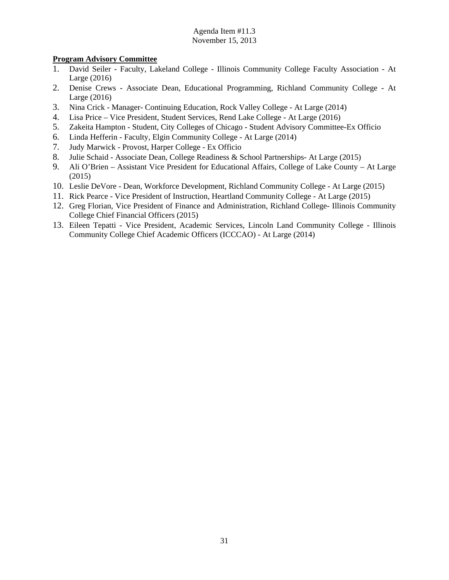# **Program Advisory Committee**

- 1. David Seiler Faculty, Lakeland College Illinois Community College Faculty Association At Large (2016)
- 2. Denise Crews Associate Dean, Educational Programming, Richland Community College At Large (2016)
- 3. Nina Crick Manager- Continuing Education, Rock Valley College At Large (2014)
- 4. Lisa Price Vice President, Student Services, Rend Lake College At Large (2016)
- 5. Zakeita Hampton Student, City Colleges of Chicago Student Advisory Committee-Ex Officio
- 6. Linda Hefferin Faculty, Elgin Community College At Large (2014)
- 7. Judy Marwick Provost, Harper College Ex Officio
- 8. Julie Schaid Associate Dean, College Readiness & School Partnerships- At Large (2015)
- 9. Ali O'Brien Assistant Vice President for Educational Affairs, College of Lake County At Large (2015)
- 10. Leslie DeVore Dean, Workforce Development, Richland Community College At Large (2015)
- 11. Rick Pearce Vice President of Instruction, Heartland Community College At Large (2015)
- 12. Greg Florian, Vice President of Finance and Administration, Richland College- Illinois Community College Chief Financial Officers (2015)
- 13. Eileen Tepatti Vice President, Academic Services, Lincoln Land Community College Illinois Community College Chief Academic Officers (ICCCAO) - At Large (2014)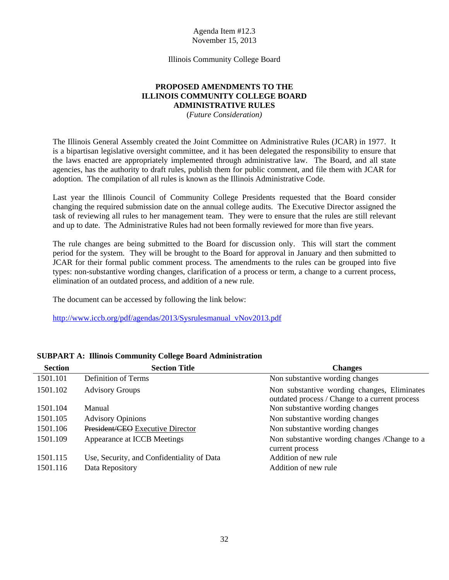Illinois Community College Board

# **PROPOSED AMENDMENTS TO THE ILLINOIS COMMUNITY COLLEGE BOARD ADMINISTRATIVE RULES**

(*Future Consideration)* 

The Illinois General Assembly created the Joint Committee on Administrative Rules (JCAR) in 1977. It is a bipartisan legislative oversight committee, and it has been delegated the responsibility to ensure that the laws enacted are appropriately implemented through administrative law. The Board, and all state agencies, has the authority to draft rules, publish them for public comment, and file them with JCAR for adoption. The compilation of all rules is known as the Illinois Administrative Code.

Last year the Illinois Council of Community College Presidents requested that the Board consider changing the required submission date on the annual college audits. The Executive Director assigned the task of reviewing all rules to her management team. They were to ensure that the rules are still relevant and up to date. The Administrative Rules had not been formally reviewed for more than five years.

The rule changes are being submitted to the Board for discussion only. This will start the comment period for the system. They will be brought to the Board for approval in January and then submitted to JCAR for their formal public comment process. The amendments to the rules can be grouped into five types: non-substantive wording changes, clarification of a process or term, a change to a current process, elimination of an outdated process, and addition of a new rule.

The document can be accessed by following the link below:

http://www.iccb.org/pdf/agendas/2013/Sysrulesmanual\_vNov2013.pdf

| <b>Section</b> | <b>Section Title</b>                       | <b>Changes</b>                                                                                |
|----------------|--------------------------------------------|-----------------------------------------------------------------------------------------------|
| 1501.101       | Definition of Terms                        | Non substantive wording changes                                                               |
| 1501.102       | <b>Advisory Groups</b>                     | Non substantive wording changes, Eliminates<br>outdated process / Change to a current process |
| 1501.104       | Manual                                     | Non substantive wording changes                                                               |
| 1501.105       | <b>Advisory Opinions</b>                   | Non substantive wording changes                                                               |
| 1501.106       | President/CEO Executive Director           | Non substantive wording changes                                                               |
| 1501.109       | Appearance at ICCB Meetings                | Non substantive wording changes /Change to a<br>current process                               |
| 1501.115       | Use, Security, and Confidentiality of Data | Addition of new rule                                                                          |
| 1501.116       | Data Repository                            | Addition of new rule                                                                          |

## **SUBPART A: Illinois Community College Board Administration**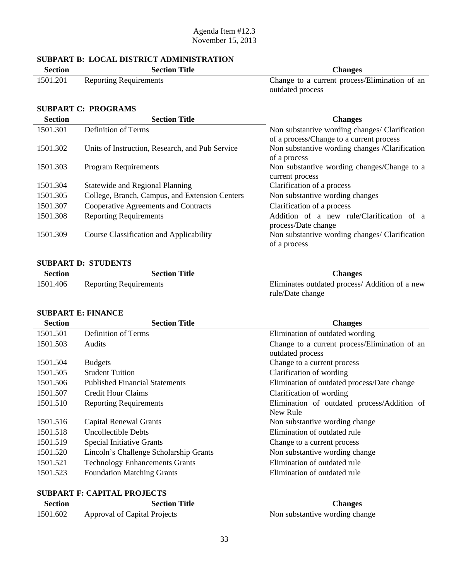## **SUBPART B: LOCAL DISTRICT ADMINISTRATION**

| <b>Section</b> | <b>Section Title</b>          | <b>Changes</b>                                |
|----------------|-------------------------------|-----------------------------------------------|
| 1501.201       | <b>Reporting Requirements</b> | Change to a current process/Elimination of an |
|                |                               | outdated process                              |

## **SUBPART C: PROGRAMS**

| <b>Section</b> | <b>Section Title</b>                            | <b>Changes</b>                                 |
|----------------|-------------------------------------------------|------------------------------------------------|
| 1501.301       | Definition of Terms                             | Non substantive wording changes/ Clarification |
|                |                                                 | of a process/Change to a current process       |
| 1501.302       | Units of Instruction, Research, and Pub Service | Non substantive wording changes /Clarification |
|                |                                                 | of a process                                   |
| 1501.303       | Program Requirements                            | Non substantive wording changes/Change to a    |
|                |                                                 | current process                                |
| 1501.304       | <b>Statewide and Regional Planning</b>          | Clarification of a process                     |
| 1501.305       | College, Branch, Campus, and Extension Centers  | Non substantive wording changes                |
| 1501.307       | Cooperative Agreements and Contracts            | Clarification of a process                     |
| 1501.308       | <b>Reporting Requirements</b>                   | Addition of a new rule/Clarification of a      |
|                |                                                 | process/Date change                            |
| 1501.309       | Course Classification and Applicability         | Non substantive wording changes/ Clarification |
|                |                                                 | of a process                                   |

# **SUBPART D: STUDENTS**

| <b>Section</b> | <b>Section Title</b>          | <b>Changes</b>                                 |
|----------------|-------------------------------|------------------------------------------------|
| 1501.406       | <b>Reporting Requirements</b> | Eliminates outdated process/ Addition of a new |
|                |                               | rule/Date change                               |

# **SUBPART E: FINANCE**

| <b>Section</b> | <b>Section Title</b>                   | <b>Changes</b>                                |
|----------------|----------------------------------------|-----------------------------------------------|
| 1501.501       | Definition of Terms                    | Elimination of outdated wording               |
| 1501.503       | <b>Audits</b>                          | Change to a current process/Elimination of an |
|                |                                        | outdated process                              |
| 1501.504       | <b>Budgets</b>                         | Change to a current process                   |
| 1501.505       | <b>Student Tuition</b>                 | Clarification of wording                      |
| 1501.506       | <b>Published Financial Statements</b>  | Elimination of outdated process/Date change   |
| 1501.507       | Credit Hour Claims                     | Clarification of wording                      |
| 1501.510       | <b>Reporting Requirements</b>          | Elimination of outdated process/Addition of   |
|                |                                        | New Rule                                      |
| 1501.516       | <b>Capital Renewal Grants</b>          | Non substantive wording change                |
| 1501.518       | Uncollectible Debts                    | Elimination of outdated rule                  |
| 1501.519       | <b>Special Initiative Grants</b>       | Change to a current process                   |
| 1501.520       | Lincoln's Challenge Scholarship Grants | Non substantive wording change                |
| 1501.521       | <b>Technology Enhancements Grants</b>  | Elimination of outdated rule                  |
| 1501.523       | <b>Foundation Matching Grants</b>      | Elimination of outdated rule                  |

# **SUBPART F: CAPITAL PROJECTS**

| Section  | <b>Section Title</b>         | <b>Changes</b>                 |
|----------|------------------------------|--------------------------------|
| 1501.602 | Approval of Capital Projects | Non substantive wording change |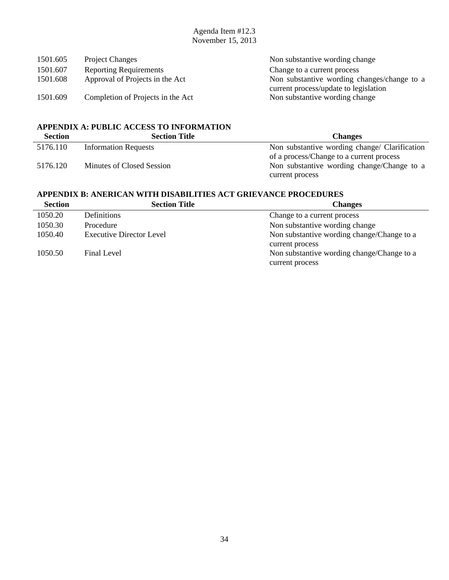| Non substantive wording change              |
|---------------------------------------------|
| Change to a current process                 |
| Non substantive wording changes/change to a |
| current process/update to legislation       |
| Non substantive wording change              |
|                                             |

# **APPENDIX A: PUBLIC ACCESS TO INFORMATION**

| <b>Section</b> | <b>Section Title</b>        | <b>Changes</b>                                |
|----------------|-----------------------------|-----------------------------------------------|
| 5176.110       | <b>Information Requests</b> | Non substantive wording change/ Clarification |
|                |                             | of a process/Change to a current process      |
| 5176.120       | Minutes of Closed Session   | Non substantive wording change/Change to a    |
|                |                             | current process                               |

# **APPENDIX B: ANERICAN WITH DISABILITIES ACT GRIEVANCE PROCEDURES**

| <b>Section</b> | <b>Section Title</b>            | <b>Changes</b>                             |
|----------------|---------------------------------|--------------------------------------------|
| 1050.20        | Definitions                     | Change to a current process                |
| 1050.30        | Procedure                       | Non substantive wording change             |
| 1050.40        | <b>Executive Director Level</b> | Non substantive wording change/Change to a |
|                |                                 | current process                            |
| 1050.50        | Final Level                     | Non substantive wording change/Change to a |
|                |                                 | current process                            |